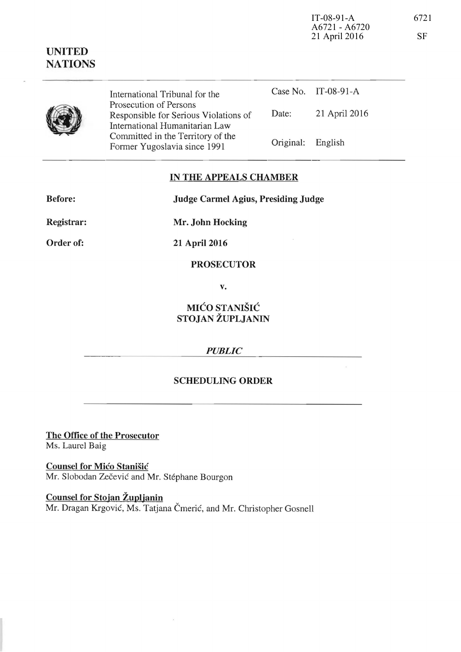IT-08-91-A A6721 - A6720 21 April 2016

# **UNITED NATIONS**

Case No.  $IT-08-91-A$ International Tribunal for the Prosecution of Persons Responsible for Serious Violations of Date: 21 April 2016 International Humanitarian Law Committed in the Territory of the Original: English Former Yugoslavia since 1991

### IN THE APPEALS CHAMBER

**Before:** 

**Judge Carmel Agius, Presiding Judge** 

Registrar:

Order of:

21 April 2016

Mr. John Hocking

#### **PROSECUTOR**

V.

## MIĆO STANIŠIĆ STOJAN ŽUPLJANIN

### **PUBLIC**

### **SCHEDULING ORDER**

The Office of the Prosecutor Ms. Laurel Baig

**Counsel for Mićo Stanišić** Mr. Slobodan Zečević and Mr. Stéphane Bourgon

Counsel for Stojan Župljanin Mr. Dragan Krgović, Ms. Tatjana Čmerić, and Mr. Christopher Gosnell 6721

**SF**